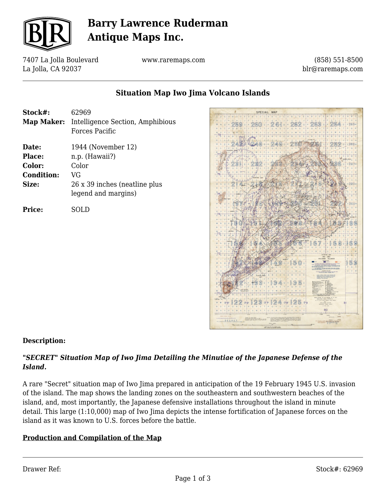

# **Barry Lawrence Ruderman Antique Maps Inc.**

7407 La Jolla Boulevard La Jolla, CA 92037

www.raremaps.com

(858) 551-8500 blr@raremaps.com

## **Situation Map Iwo Jima Volcano Islands**

**Stock#:** 62969 **Map Maker:** Intelligence Section, Amphibious Forces Pacific **Date:** 1944 (November 12) **Place:** n.p. (Hawaii?) **Color:** Color **Condition:** VG **Size:** 26 x 39 inches (neatline plus legend and margins)

**Price:** SOLD



### **Description:**

### *"SECRET" Situation Map of Iwo Jima Detailing the Minutiae of the Japanese Defense of the Island.*

A rare "Secret" situation map of Iwo Jima prepared in anticipation of the 19 February 1945 U.S. invasion of the island. The map shows the landing zones on the southeastern and southwestern beaches of the island, and, most importantly, the Japanese defensive installations throughout the island in minute detail. This large (1:10,000) map of Iwo Jima depicts the intense fortification of Japanese forces on the island as it was known to U.S. forces before the battle.

### **Production and Compilation of the Map**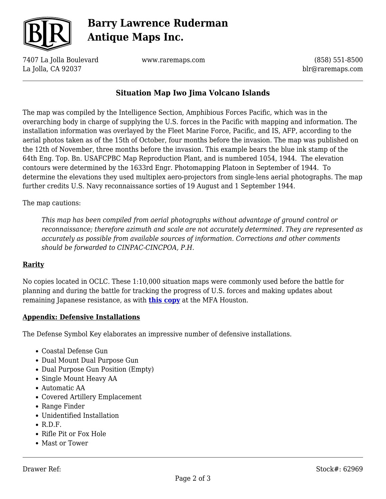

# **Barry Lawrence Ruderman Antique Maps Inc.**

7407 La Jolla Boulevard La Jolla, CA 92037

www.raremaps.com

(858) 551-8500 blr@raremaps.com

## **Situation Map Iwo Jima Volcano Islands**

The map was compiled by the Intelligence Section, Amphibious Forces Pacific, which was in the overarching body in charge of supplying the U.S. forces in the Pacific with mapping and information. The installation information was overlayed by the Fleet Marine Force, Pacific, and IS, AFP, according to the aerial photos taken as of the 15th of October, four months before the invasion. The map was published on the 12th of November, three months before the invasion. This example bears the blue ink stamp of the 64th Eng. Top. Bn. USAFCPBC Map Reproduction Plant, and is numbered 1054, 1944. The elevation contours were determined by the 1633rd Engr. Photomapping Platoon in September of 1944. To determine the elevations they used multiplex aero-projectors from single-lens aerial photographs. The map further credits U.S. Navy reconnaissance sorties of 19 August and 1 September 1944.

The map cautions:

*This map has been compiled from aerial photographs without advantage of ground control or reconnaissance; therefore azimuth and scale are not accurately determined. They are represented as accurately as possible from available sources of information. Corrections and other comments should be forwarded to CINPAC-CINCPOA, P.H.*

#### **Rarity**

No copies located in OCLC. These 1:10,000 situation maps were commonly used before the battle for planning and during the battle for tracking the progress of U.S. forces and making updates about remaining Japanese resistance, as with **[this copy](https://artsandculture.google.com/asset/situation-map-iwo-jima-volcano-islands/NgFK09CCm2q-uQ)** at the MFA Houston.

#### **Appendix: Defensive Installations**

The Defense Symbol Key elaborates an impressive number of defensive installations.

- Coastal Defense Gun
- Dual Mount Dual Purpose Gun
- Dual Purpose Gun Position (Empty)
- Single Mount Heavy AA
- Automatic AA
- Covered Artillery Emplacement
- Range Finder
- Unidentified Installation
- $\cdot$  R.D.F.
- Rifle Pit or Fox Hole
- Mast or Tower